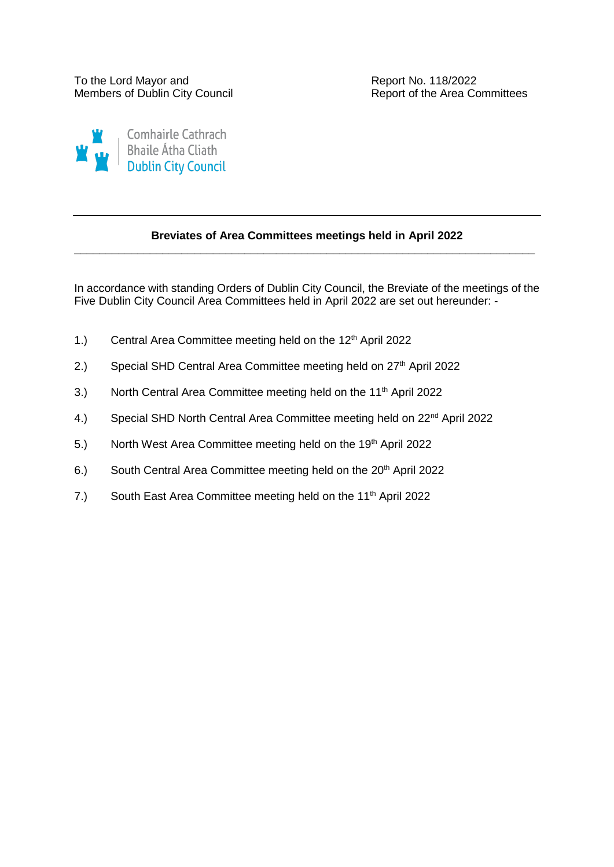

## **Breviates of Area Committees meetings held in April 2022 \_\_\_\_\_\_\_\_\_\_\_\_\_\_\_\_\_\_\_\_\_\_\_\_\_\_\_\_\_\_\_\_\_\_\_\_\_\_\_\_\_\_\_\_\_\_\_\_\_\_\_\_\_\_\_\_\_\_\_\_\_\_\_\_\_\_\_\_\_\_\_\_\_**

In accordance with standing Orders of Dublin City Council, the Breviate of the meetings of the Five Dublin City Council Area Committees held in April 2022 are set out hereunder: -

- 1.) Central Area Committee meeting held on the 12<sup>th</sup> April 2022
- 2.) Special SHD Central Area Committee meeting held on 27<sup>th</sup> April 2022
- 3.) North Central Area Committee meeting held on the 11<sup>th</sup> April 2022
- 4.) Special SHD North Central Area Committee meeting held on 22<sup>nd</sup> April 2022
- 5.) North West Area Committee meeting held on the 19<sup>th</sup> April 2022
- 6.) South Central Area Committee meeting held on the 20<sup>th</sup> April 2022
- 7.) South East Area Committee meeting held on the 11<sup>th</sup> April 2022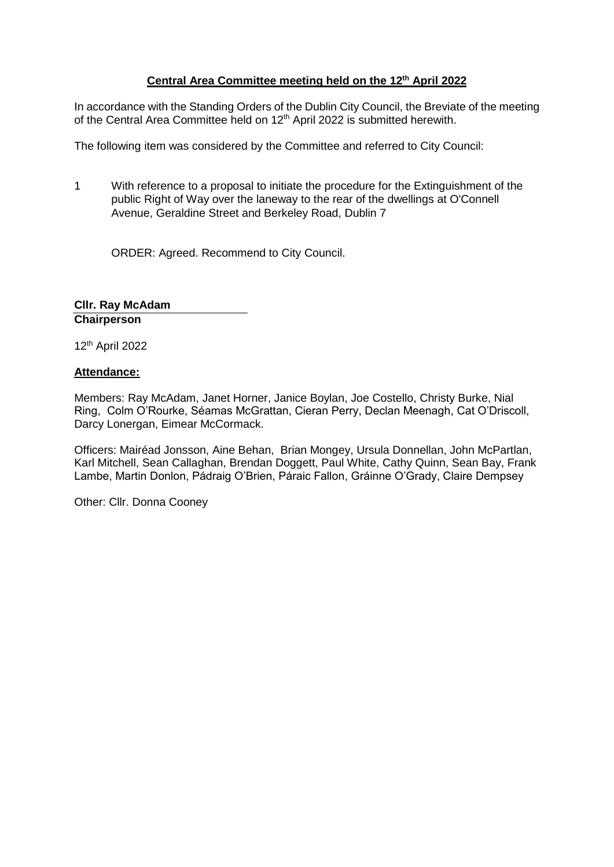# **Central Area Committee meeting held on the 12th April 2022**

In accordance with the Standing Orders of the Dublin City Council, the Breviate of the meeting of the Central Area Committee held on 12<sup>th</sup> April 2022 is submitted herewith.

The following item was considered by the Committee and referred to City Council:

1 With reference to a proposal to initiate the procedure for the Extinguishment of the public Right of Way over the laneway to the rear of the dwellings at O'Connell Avenue, Geraldine Street and Berkeley Road, Dublin 7

ORDER: Agreed. Recommend to City Council.

**Cllr. Ray McAdam Chairperson**

12th April 2022

## **Attendance:**

Members: Ray McAdam, Janet Horner, Janice Boylan, Joe Costello, Christy Burke, Nial Ring, Colm O'Rourke, Séamas McGrattan, Cieran Perry, Declan Meenagh, Cat O'Driscoll, Darcy Lonergan, Eimear McCormack.

Officers: Mairéad Jonsson, Aine Behan, Brian Mongey, Ursula Donnellan, John McPartlan, Karl Mitchell, Sean Callaghan, Brendan Doggett, Paul White, Cathy Quinn, Sean Bay, Frank Lambe, Martin Donlon, Pádraig O'Brien, Páraic Fallon, Gráinne O'Grady, Claire Dempsey

Other: Cllr. Donna Cooney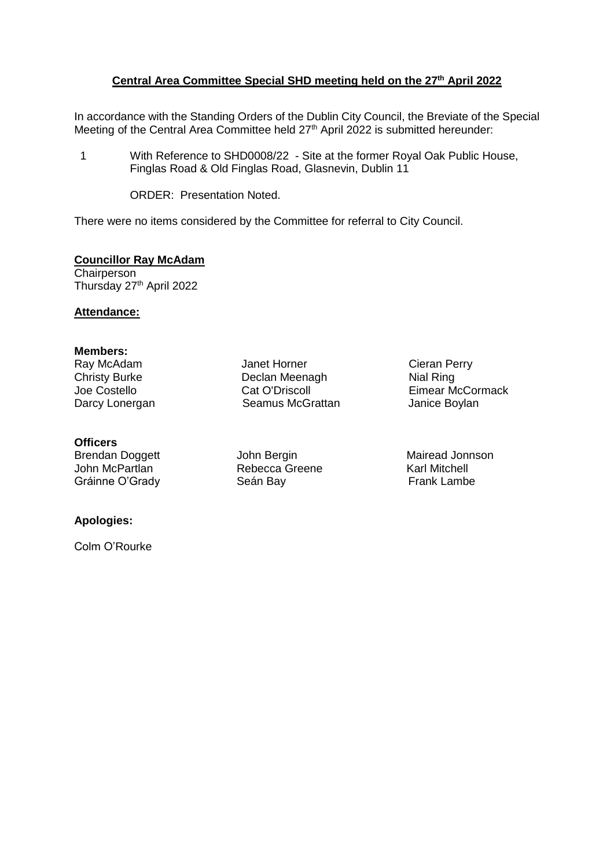# **Central Area Committee Special SHD meeting held on the 27th April 2022**

In accordance with the Standing Orders of the Dublin City Council, the Breviate of the Special Meeting of the Central Area Committee held 27<sup>th</sup> April 2022 is submitted hereunder:

1 With Reference to SHD0008/22 - Site at the former Royal Oak Public House, Finglas Road & Old Finglas Road, Glasnevin, Dublin 11

ORDER: Presentation Noted.

There were no items considered by the Committee for referral to City Council.

# **Councillor Ray McAdam**

**Chairperson** Thursday 27<sup>th</sup> April 2022

## **Attendance:**

# **Members:**

Ray McAdam Christy Burke Joe Costello

## **Officers**

John McPartlan Rebecca Greene Karl Mitchell Gráinne O'Grady **Seán Bay** Seán Bay **Frank Lambe** 

# **Apologies:**

Colm O'Rourke

Janet Horner Declan Meenagh Cat O'Driscoll Darcy Lonergan Seamus McGrattan

Cieran Perry Nial Ring Eimear McCormack<br>Janice Boylan

Brendan Doggett **John Bergin** Mairead Jonnson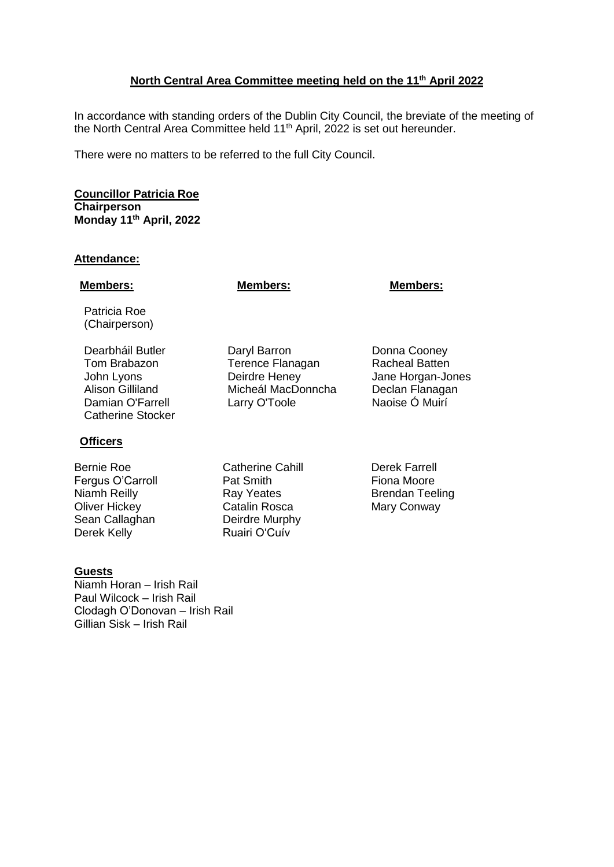# **North Central Area Committee meeting held on the 11th April 2022**

In accordance with standing orders of the Dublin City Council, the breviate of the meeting of the North Central Area Committee held 11<sup>th</sup> April, 2022 is set out hereunder.

There were no matters to be referred to the full City Council.

**Councillor Patricia Roe Chairperson Monday 11th April, 2022**

## **Attendance:**

## **Members: Members: Members:**

Patricia Roe (Chairperson)

Dearbháil Butler **Daryl Barron** Donna Cooney Tom Brabazon Terence Flanagan Racheal Batten John Lyons Deirdre Heney Jane Horgan-Jones Alison Gilliland Micheál MacDonncha Declan Flanagan<br>Damian O'Farrell Larry O'Toole Naoise Ó Muirí Damian O'Farrell Catherine Stocker

## **Officers**

Bernie Roe **Catherine Cahill** Derek Farrell Fergus O'Carroll **Pat Smith** Pat Smith Fiona Moore Niamh Reilly **Ray Yeates** Brendan Teeling Oliver Hickey **Catalin Rosca** Mary Conway<br>
Sean Callaghan **Contain Contain Deirdre Murphy** Sean Callaghan Derek Kelly **Ruairi O'Cuív** 

Larry O'Toole

# **Guests**

Niamh Horan – Irish Rail Paul Wilcock – Irish Rail Clodagh O'Donovan – Irish Rail Gillian Sisk – Irish Rail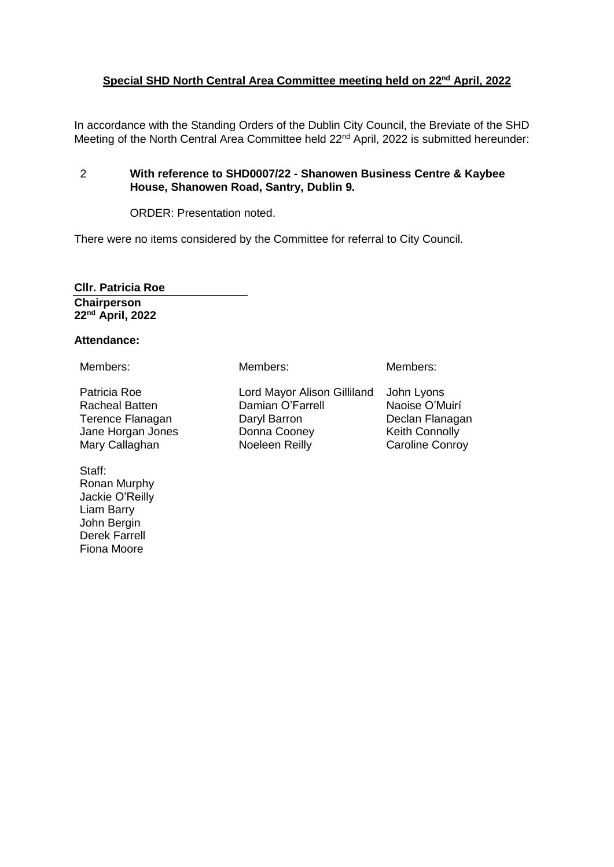# **Special SHD North Central Area Committee meeting held on 22nd April, 2022**

In accordance with the Standing Orders of the Dublin City Council, the Breviate of the SHD Meeting of the North Central Area Committee held 22<sup>nd</sup> April, 2022 is submitted hereunder:

# 2 **With reference to SHD0007/22 - Shanowen Business Centre & Kaybee House, Shanowen Road, Santry, Dublin 9.**

ORDER: Presentation noted.

There were no items considered by the Committee for referral to City Council.

**Cllr. Patricia Roe Chairperson 22nd April, 2022**

## **Attendance:**

Patricia Roe Racheal Batten Terence Flanagan Jane Horgan Jones Mary Callaghan

Staff: Ronan Murphy Jackie O'Reilly Liam Barry John Bergin Derek Farrell Fiona Moore

Members: Members: Members:

Lord Mayor Alison Gilliland John Lyons Damian O'Farrell Daryl Barron Donna Cooney Noeleen Reilly

Naoise O'Muirí Declan Flanagan Keith Connolly Caroline Conroy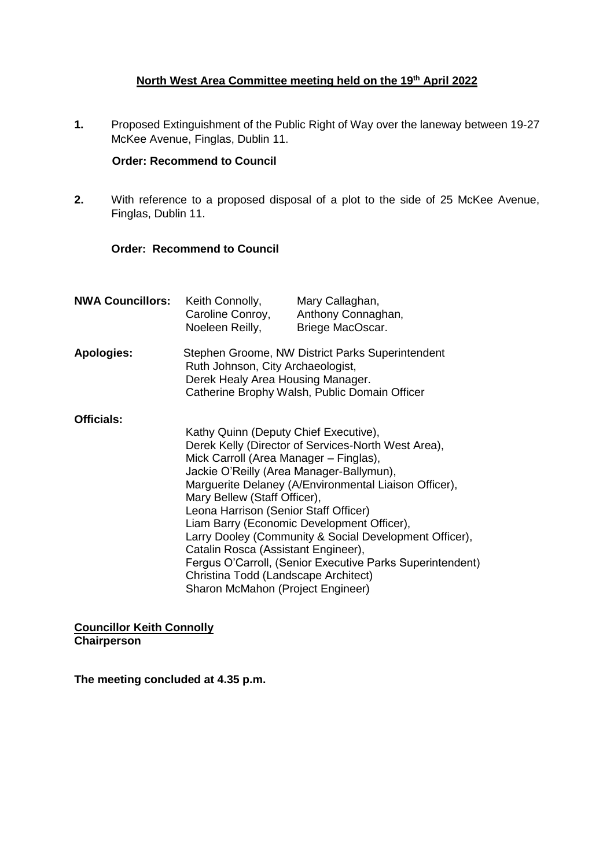# **North West Area Committee meeting held on the 19th April 2022**

**1.** Proposed Extinguishment of the Public Right of Way over the laneway between 19-27 McKee Avenue, Finglas, Dublin 11.

## **Order: Recommend to Council**

**2.** With reference to a proposed disposal of a plot to the side of 25 McKee Avenue, Finglas, Dublin 11.

## **Order: Recommend to Council**

| <b>NWA Councillors:</b> | Keith Connolly,<br>Noeleen Reilly,                                                                                                                                                                                                                                                                                                                                                                                                                                                                                                                                                                            | Mary Callaghan,<br>Caroline Conroy, Anthony Connaghan,<br>Briege MacOscar. |
|-------------------------|---------------------------------------------------------------------------------------------------------------------------------------------------------------------------------------------------------------------------------------------------------------------------------------------------------------------------------------------------------------------------------------------------------------------------------------------------------------------------------------------------------------------------------------------------------------------------------------------------------------|----------------------------------------------------------------------------|
| <b>Apologies:</b>       | Stephen Groome, NW District Parks Superintendent<br>Ruth Johnson, City Archaeologist,<br>Derek Healy Area Housing Manager.<br>Catherine Brophy Walsh, Public Domain Officer                                                                                                                                                                                                                                                                                                                                                                                                                                   |                                                                            |
| Officials:              | Kathy Quinn (Deputy Chief Executive),<br>Derek Kelly (Director of Services-North West Area),<br>Mick Carroll (Area Manager - Finglas),<br>Jackie O'Reilly (Area Manager-Ballymun),<br>Marguerite Delaney (A/Environmental Liaison Officer),<br>Mary Bellew (Staff Officer),<br>Leona Harrison (Senior Staff Officer)<br>Liam Barry (Economic Development Officer),<br>Larry Dooley (Community & Social Development Officer),<br>Catalin Rosca (Assistant Engineer),<br>Fergus O'Carroll, (Senior Executive Parks Superintendent)<br>Christina Todd (Landscape Architect)<br>Sharon McMahon (Project Engineer) |                                                                            |

**Councillor Keith Connolly Chairperson**

**The meeting concluded at 4.35 p.m.**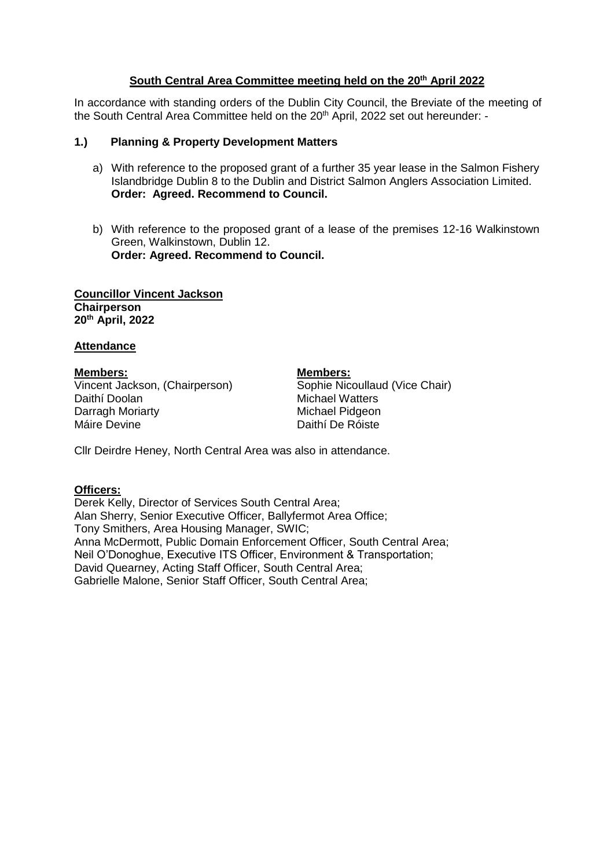# **South Central Area Committee meeting held on the 20th April 2022**

In accordance with standing orders of the Dublin City Council, the Breviate of the meeting of the South Central Area Committee held on the 20<sup>th</sup> April, 2022 set out hereunder: -

# **1.) Planning & Property Development Matters**

- a) With reference to the proposed grant of a further 35 year lease in the Salmon Fishery Islandbridge Dublin 8 to the Dublin and District Salmon Anglers Association Limited. **Order: Agreed. Recommend to Council.**
- b) With reference to the proposed grant of a lease of the premises 12-16 Walkinstown Green, Walkinstown, Dublin 12. **Order: Agreed. Recommend to Council.**

**Councillor Vincent Jackson Chairperson 20th April, 2022**

# **Attendance**

**Members: Members:** Vincent Jackson, (Chairperson) Sophie Nicoullaud (Vice Chair) Daithí Doolan **Michael Watters**<br>
Darragh Moriarty **Michael Pidgeon** Darragh Moriarty<br>Máire Devine

Daithí De Róiste

Cllr Deirdre Heney, North Central Area was also in attendance.

# **Officers:**

Derek Kelly, Director of Services South Central Area; Alan Sherry, Senior Executive Officer, Ballyfermot Area Office; Tony Smithers, Area Housing Manager, SWIC; Anna McDermott, Public Domain Enforcement Officer, South Central Area; Neil O'Donoghue, Executive ITS Officer, Environment & Transportation; David Quearney, Acting Staff Officer, South Central Area; Gabrielle Malone, Senior Staff Officer, South Central Area;